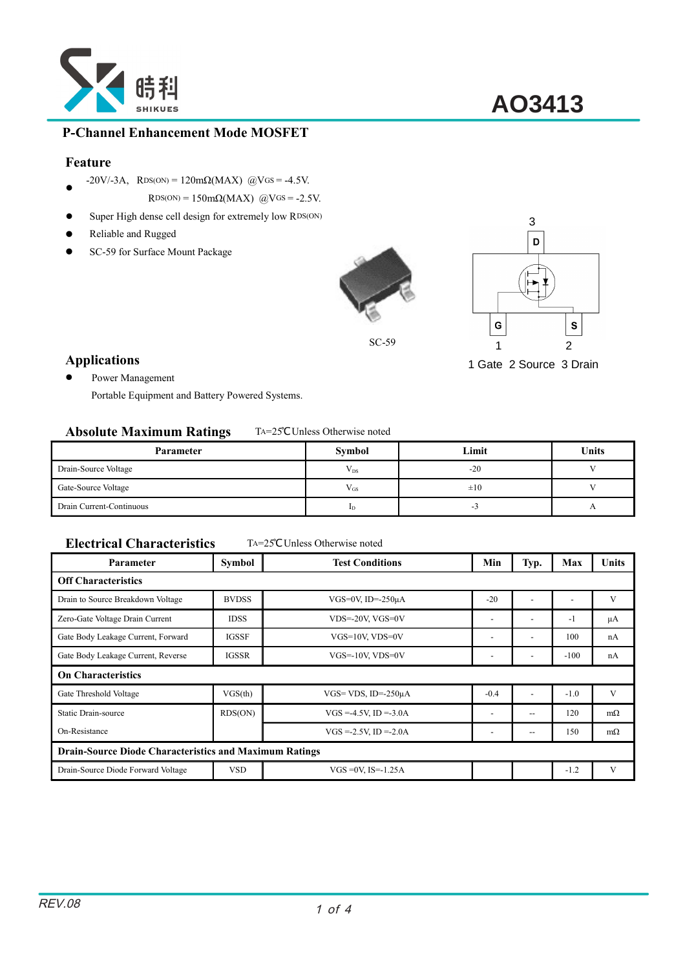

### **P-Channel Enhancement Mode MOSFET**

#### **Feature**

- $\bullet$  $-20V/-3A$ , RDS(ON) = 120mΩ(MAX) @VGS = -4.5V.
- $RDS(ON) = 150 \text{m}\Omega(MAX)$  @VGS = -2.5V.
- $\bullet$  Super High dense cell design for extremely low RDS(ON)
- Reliable and Rugged
- SC-59 for Surface Mount Package





1 Gate 2 Source 3 Drain

### **Applications**

● Power Management

Portable Equipment and Battery Powered Systems.

#### **Absolute Maximum Ratings** TA=25°CUnless Otherwise noted

| Parameter                | Symbol         | Limit    | <b>Units</b>   |  |
|--------------------------|----------------|----------|----------------|--|
| Drain-Source Voltage     | $V_{DS}$       | $-20$    |                |  |
| Gate-Source Voltage      | $V_{GS}$       | $\pm 10$ |                |  |
| Drain Current-Continuous | $_{\text{1D}}$ | -3       | $\overline{1}$ |  |

#### **Electrical Characteristics** TA=25°CUnless Otherwise noted

| Parameter                                                     | <b>Symbol</b> | <b>Test Conditions</b>     | Min                      | Typ.                     | Max    | Units     |  |  |
|---------------------------------------------------------------|---------------|----------------------------|--------------------------|--------------------------|--------|-----------|--|--|
| <b>Off Characteristics</b>                                    |               |                            |                          |                          |        |           |  |  |
| Drain to Source Breakdown Voltage                             | <b>BVDSS</b>  | VGS=0V, ID= $-250\mu A$    | $-20$                    |                          |        | V         |  |  |
| Zero-Gate Voltage Drain Current                               | <b>IDSS</b>   | VDS=-20V, VGS=0V           | $\overline{\phantom{a}}$ | $\overline{\phantom{a}}$ | $-1$   | μA        |  |  |
| Gate Body Leakage Current, Forward                            | <b>IGSSF</b>  | VGS=10V, VDS=0V            | $\overline{\phantom{a}}$ | $\overline{\phantom{a}}$ | 100    | nA        |  |  |
| Gate Body Leakage Current, Reverse                            | <b>IGSSR</b>  | VGS=-10V, VDS=0V           | $\overline{\phantom{a}}$ | $\overline{\phantom{a}}$ | $-100$ | nA        |  |  |
| <b>On Characteristics</b>                                     |               |                            |                          |                          |        |           |  |  |
| Gate Threshold Voltage                                        | VGS(th)       | VGS= VDS, ID= $-250\mu A$  | $-0.4$                   | $\overline{\phantom{a}}$ | $-1.0$ | V         |  |  |
| <b>Static Drain-source</b>                                    | RDS(ON)       | $VGS = -4.5V$ , ID = -3.0A | ٠                        | $- -$                    | 120    | $m\Omega$ |  |  |
| On-Resistance                                                 |               | $VGS = -2.5V$ , ID = -2.0A |                          | --                       | 150    | $m\Omega$ |  |  |
| <b>Drain-Source Diode Characteristics and Maximum Ratings</b> |               |                            |                          |                          |        |           |  |  |
| Drain-Source Diode Forward Voltage                            | <b>VSD</b>    | $VGS = 0V$ , $IS = -1.25A$ |                          |                          | $-1.2$ | V         |  |  |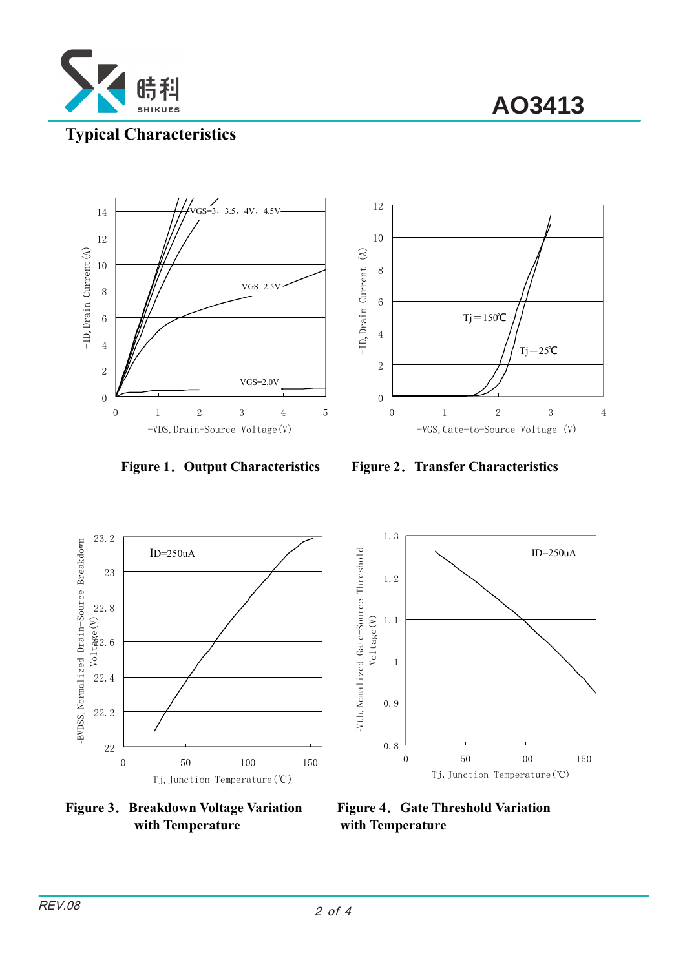

**AO3413**

### **Typical Characteristics**





**Figure 1**.**Output Characteristics Figure 2**.**Transfer Characteristics** 





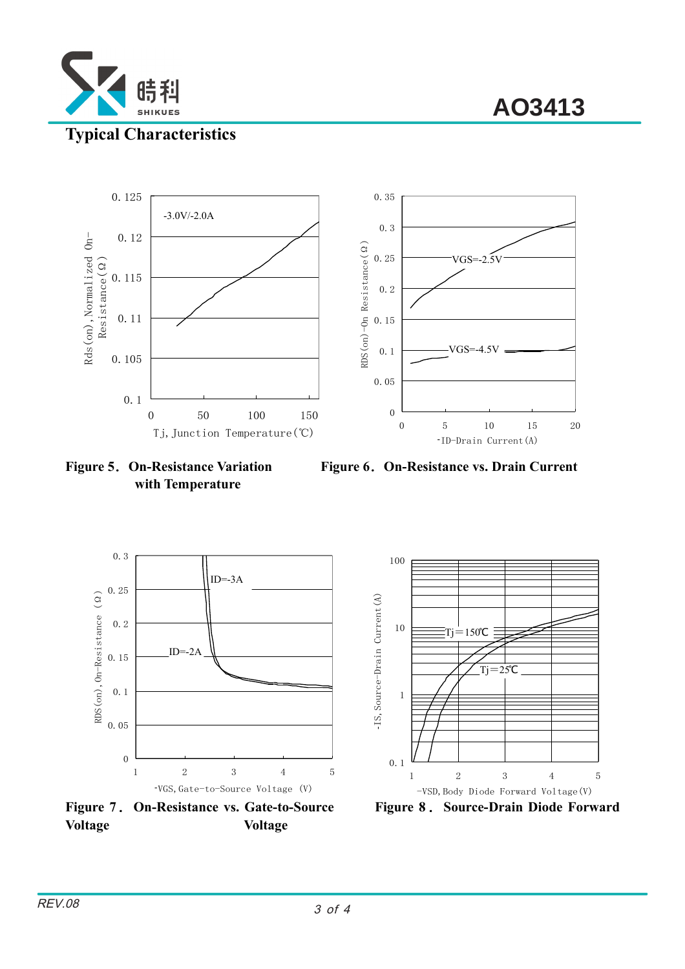

**AO3413**



**with Temperature** 

**Figure 5**.**On-Resistance Variation Figure 6**.**On-Resistance vs. Drain Current**